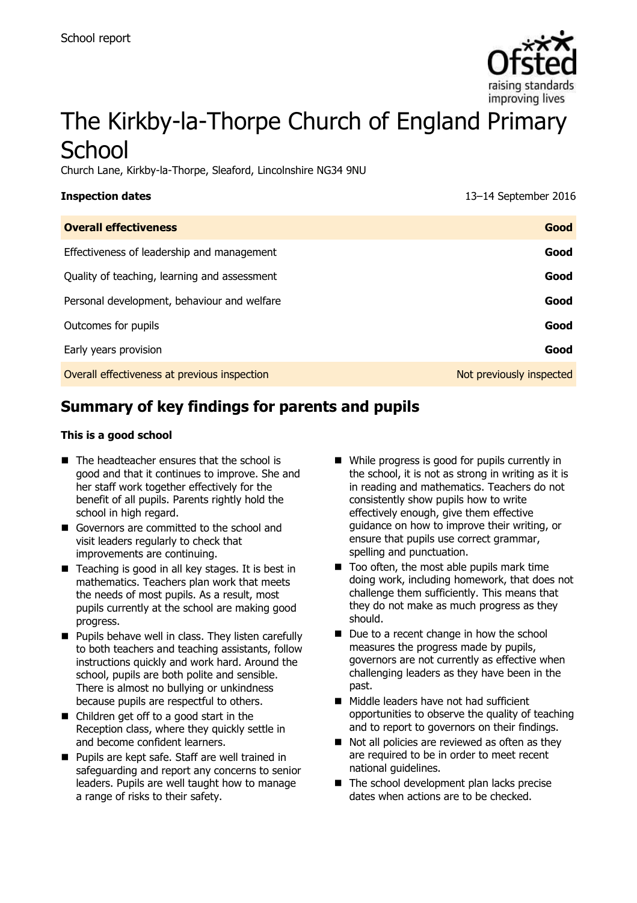

# The Kirkby-la-Thorpe Church of England Primary **School**

Church Lane, Kirkby-la-Thorpe, Sleaford, Lincolnshire NG34 9NU

| <b>Inspection dates</b>                      | 13-14 September 2016     |
|----------------------------------------------|--------------------------|
| <b>Overall effectiveness</b>                 | Good                     |
| Effectiveness of leadership and management   | Good                     |
| Quality of teaching, learning and assessment | Good                     |
| Personal development, behaviour and welfare  | Good                     |
| Outcomes for pupils                          | Good                     |
| Early years provision                        | Good                     |
| Overall effectiveness at previous inspection | Not previously inspected |
|                                              |                          |

# **Summary of key findings for parents and pupils**

#### **This is a good school**

- $\blacksquare$  The headteacher ensures that the school is good and that it continues to improve. She and her staff work together effectively for the benefit of all pupils. Parents rightly hold the school in high regard.
- Governors are committed to the school and visit leaders regularly to check that improvements are continuing.
- $\blacksquare$  Teaching is good in all key stages. It is best in mathematics. Teachers plan work that meets the needs of most pupils. As a result, most pupils currently at the school are making good progress.
- **Pupils behave well in class. They listen carefully** to both teachers and teaching assistants, follow instructions quickly and work hard. Around the school, pupils are both polite and sensible. There is almost no bullying or unkindness because pupils are respectful to others.
- Children get off to a good start in the Reception class, where they quickly settle in and become confident learners.
- **Pupils are kept safe. Staff are well trained in** safeguarding and report any concerns to senior leaders. Pupils are well taught how to manage a range of risks to their safety.
- While progress is good for pupils currently in the school, it is not as strong in writing as it is in reading and mathematics. Teachers do not consistently show pupils how to write effectively enough, give them effective guidance on how to improve their writing, or ensure that pupils use correct grammar, spelling and punctuation.
- $\blacksquare$  Too often, the most able pupils mark time doing work, including homework, that does not challenge them sufficiently. This means that they do not make as much progress as they should.
- Due to a recent change in how the school measures the progress made by pupils, governors are not currently as effective when challenging leaders as they have been in the past.
- Middle leaders have not had sufficient opportunities to observe the quality of teaching and to report to governors on their findings.
- $\blacksquare$  Not all policies are reviewed as often as they are required to be in order to meet recent national guidelines.
- The school development plan lacks precise dates when actions are to be checked.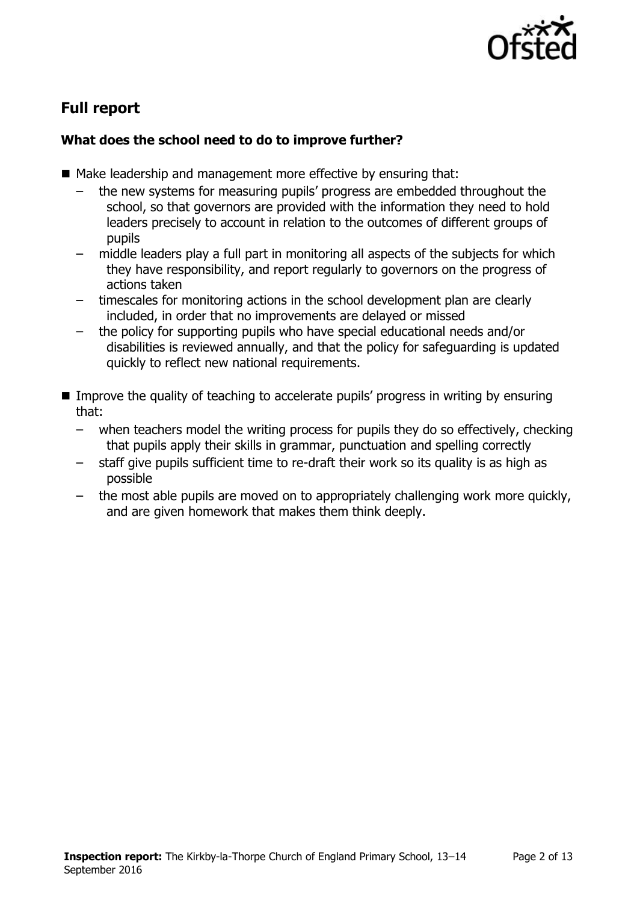

# **Full report**

## **What does the school need to do to improve further?**

- Make leadership and management more effective by ensuring that:
	- the new systems for measuring pupils' progress are embedded throughout the school, so that governors are provided with the information they need to hold leaders precisely to account in relation to the outcomes of different groups of pupils
	- middle leaders play a full part in monitoring all aspects of the subjects for which they have responsibility, and report regularly to governors on the progress of actions taken
	- timescales for monitoring actions in the school development plan are clearly included, in order that no improvements are delayed or missed
	- the policy for supporting pupils who have special educational needs and/or disabilities is reviewed annually, and that the policy for safeguarding is updated quickly to reflect new national requirements.
- Improve the quality of teaching to accelerate pupils' progress in writing by ensuring that:
	- when teachers model the writing process for pupils they do so effectively, checking that pupils apply their skills in grammar, punctuation and spelling correctly
	- staff give pupils sufficient time to re-draft their work so its quality is as high as possible
	- the most able pupils are moved on to appropriately challenging work more quickly, and are given homework that makes them think deeply.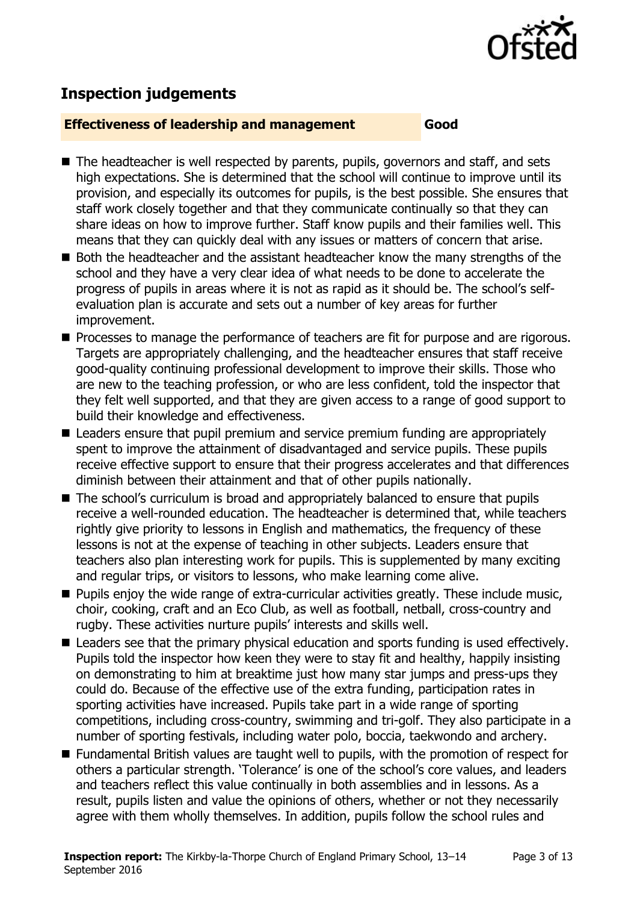

# **Inspection judgements**

#### **Effectiveness of leadership and management Good**

- The headteacher is well respected by parents, pupils, governors and staff, and sets high expectations. She is determined that the school will continue to improve until its provision, and especially its outcomes for pupils, is the best possible. She ensures that staff work closely together and that they communicate continually so that they can share ideas on how to improve further. Staff know pupils and their families well. This means that they can quickly deal with any issues or matters of concern that arise.
- Both the headteacher and the assistant headteacher know the many strengths of the school and they have a very clear idea of what needs to be done to accelerate the progress of pupils in areas where it is not as rapid as it should be. The school's selfevaluation plan is accurate and sets out a number of key areas for further improvement.
- **Processes to manage the performance of teachers are fit for purpose and are rigorous.** Targets are appropriately challenging, and the headteacher ensures that staff receive good-quality continuing professional development to improve their skills. Those who are new to the teaching profession, or who are less confident, told the inspector that they felt well supported, and that they are given access to a range of good support to build their knowledge and effectiveness.
- Leaders ensure that pupil premium and service premium funding are appropriately spent to improve the attainment of disadvantaged and service pupils. These pupils receive effective support to ensure that their progress accelerates and that differences diminish between their attainment and that of other pupils nationally.
- The school's curriculum is broad and appropriately balanced to ensure that pupils receive a well-rounded education. The headteacher is determined that, while teachers rightly give priority to lessons in English and mathematics, the frequency of these lessons is not at the expense of teaching in other subjects. Leaders ensure that teachers also plan interesting work for pupils. This is supplemented by many exciting and regular trips, or visitors to lessons, who make learning come alive.
- **Pupils enjoy the wide range of extra-curricular activities greatly. These include music,** choir, cooking, craft and an Eco Club, as well as football, netball, cross-country and rugby. These activities nurture pupils' interests and skills well.
- Leaders see that the primary physical education and sports funding is used effectively. Pupils told the inspector how keen they were to stay fit and healthy, happily insisting on demonstrating to him at breaktime just how many star jumps and press-ups they could do. Because of the effective use of the extra funding, participation rates in sporting activities have increased. Pupils take part in a wide range of sporting competitions, including cross-country, swimming and tri-golf. They also participate in a number of sporting festivals, including water polo, boccia, taekwondo and archery.
- Fundamental British values are taught well to pupils, with the promotion of respect for others a particular strength. 'Tolerance' is one of the school's core values, and leaders and teachers reflect this value continually in both assemblies and in lessons. As a result, pupils listen and value the opinions of others, whether or not they necessarily agree with them wholly themselves. In addition, pupils follow the school rules and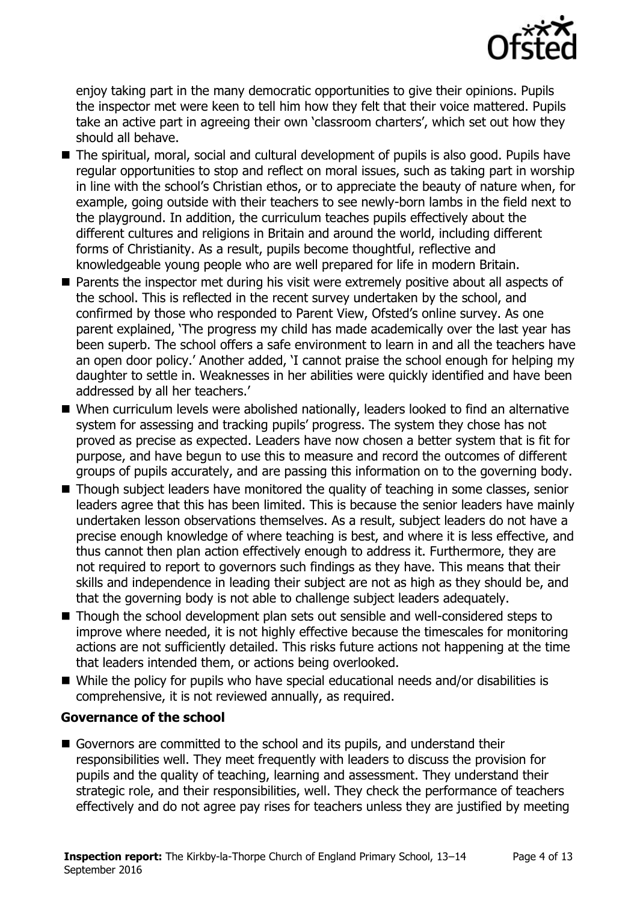

enjoy taking part in the many democratic opportunities to give their opinions. Pupils the inspector met were keen to tell him how they felt that their voice mattered. Pupils take an active part in agreeing their own 'classroom charters', which set out how they should all behave.

- The spiritual, moral, social and cultural development of pupils is also good. Pupils have regular opportunities to stop and reflect on moral issues, such as taking part in worship in line with the school's Christian ethos, or to appreciate the beauty of nature when, for example, going outside with their teachers to see newly-born lambs in the field next to the playground. In addition, the curriculum teaches pupils effectively about the different cultures and religions in Britain and around the world, including different forms of Christianity. As a result, pupils become thoughtful, reflective and knowledgeable young people who are well prepared for life in modern Britain.
- **Parents the inspector met during his visit were extremely positive about all aspects of** the school. This is reflected in the recent survey undertaken by the school, and confirmed by those who responded to Parent View, Ofsted's online survey. As one parent explained, 'The progress my child has made academically over the last year has been superb. The school offers a safe environment to learn in and all the teachers have an open door policy.' Another added, 'I cannot praise the school enough for helping my daughter to settle in. Weaknesses in her abilities were quickly identified and have been addressed by all her teachers.'
- When curriculum levels were abolished nationally, leaders looked to find an alternative system for assessing and tracking pupils' progress. The system they chose has not proved as precise as expected. Leaders have now chosen a better system that is fit for purpose, and have begun to use this to measure and record the outcomes of different groups of pupils accurately, and are passing this information on to the governing body.
- Though subject leaders have monitored the quality of teaching in some classes, senior leaders agree that this has been limited. This is because the senior leaders have mainly undertaken lesson observations themselves. As a result, subject leaders do not have a precise enough knowledge of where teaching is best, and where it is less effective, and thus cannot then plan action effectively enough to address it. Furthermore, they are not required to report to governors such findings as they have. This means that their skills and independence in leading their subject are not as high as they should be, and that the governing body is not able to challenge subject leaders adequately.
- Though the school development plan sets out sensible and well-considered steps to improve where needed, it is not highly effective because the timescales for monitoring actions are not sufficiently detailed. This risks future actions not happening at the time that leaders intended them, or actions being overlooked.
- While the policy for pupils who have special educational needs and/or disabilities is comprehensive, it is not reviewed annually, as required.

### **Governance of the school**

Governors are committed to the school and its pupils, and understand their responsibilities well. They meet frequently with leaders to discuss the provision for pupils and the quality of teaching, learning and assessment. They understand their strategic role, and their responsibilities, well. They check the performance of teachers effectively and do not agree pay rises for teachers unless they are justified by meeting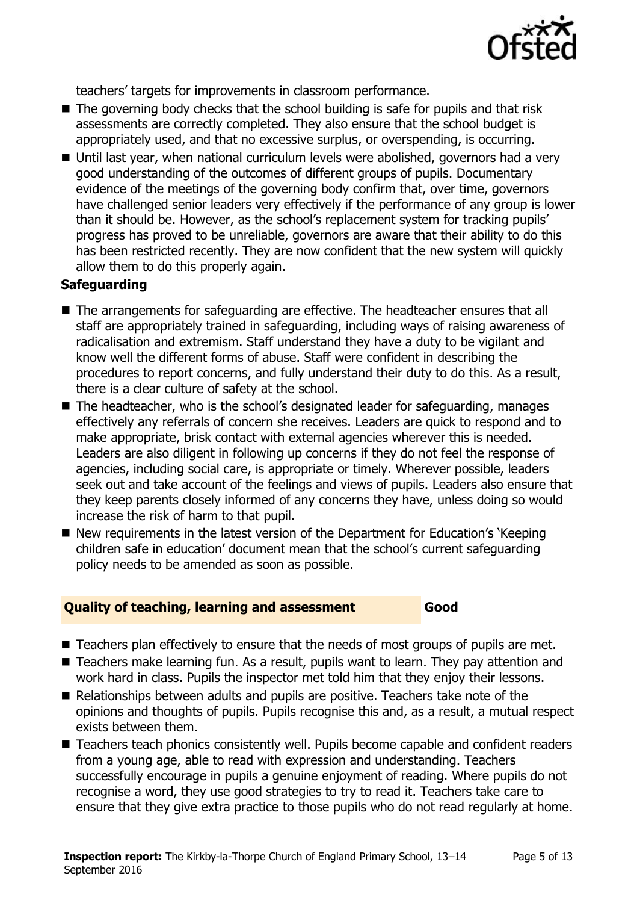

teachers' targets for improvements in classroom performance.

- The governing body checks that the school building is safe for pupils and that risk assessments are correctly completed. They also ensure that the school budget is appropriately used, and that no excessive surplus, or overspending, is occurring.
- Until last year, when national curriculum levels were abolished, governors had a very good understanding of the outcomes of different groups of pupils. Documentary evidence of the meetings of the governing body confirm that, over time, governors have challenged senior leaders very effectively if the performance of any group is lower than it should be. However, as the school's replacement system for tracking pupils' progress has proved to be unreliable, governors are aware that their ability to do this has been restricted recently. They are now confident that the new system will quickly allow them to do this properly again.

### **Safeguarding**

- The arrangements for safeguarding are effective. The headteacher ensures that all staff are appropriately trained in safeguarding, including ways of raising awareness of radicalisation and extremism. Staff understand they have a duty to be vigilant and know well the different forms of abuse. Staff were confident in describing the procedures to report concerns, and fully understand their duty to do this. As a result, there is a clear culture of safety at the school.
- The headteacher, who is the school's designated leader for safeguarding, manages effectively any referrals of concern she receives. Leaders are quick to respond and to make appropriate, brisk contact with external agencies wherever this is needed. Leaders are also diligent in following up concerns if they do not feel the response of agencies, including social care, is appropriate or timely. Wherever possible, leaders seek out and take account of the feelings and views of pupils. Leaders also ensure that they keep parents closely informed of any concerns they have, unless doing so would increase the risk of harm to that pupil.
- New requirements in the latest version of the Department for Education's 'Keeping children safe in education' document mean that the school's current safeguarding policy needs to be amended as soon as possible.

### **Quality of teaching, learning and assessment Good**

- Teachers plan effectively to ensure that the needs of most groups of pupils are met.
- Teachers make learning fun. As a result, pupils want to learn. They pay attention and work hard in class. Pupils the inspector met told him that they enjoy their lessons.
- Relationships between adults and pupils are positive. Teachers take note of the opinions and thoughts of pupils. Pupils recognise this and, as a result, a mutual respect exists between them.
- Teachers teach phonics consistently well. Pupils become capable and confident readers from a young age, able to read with expression and understanding. Teachers successfully encourage in pupils a genuine enjoyment of reading. Where pupils do not recognise a word, they use good strategies to try to read it. Teachers take care to ensure that they give extra practice to those pupils who do not read regularly at home.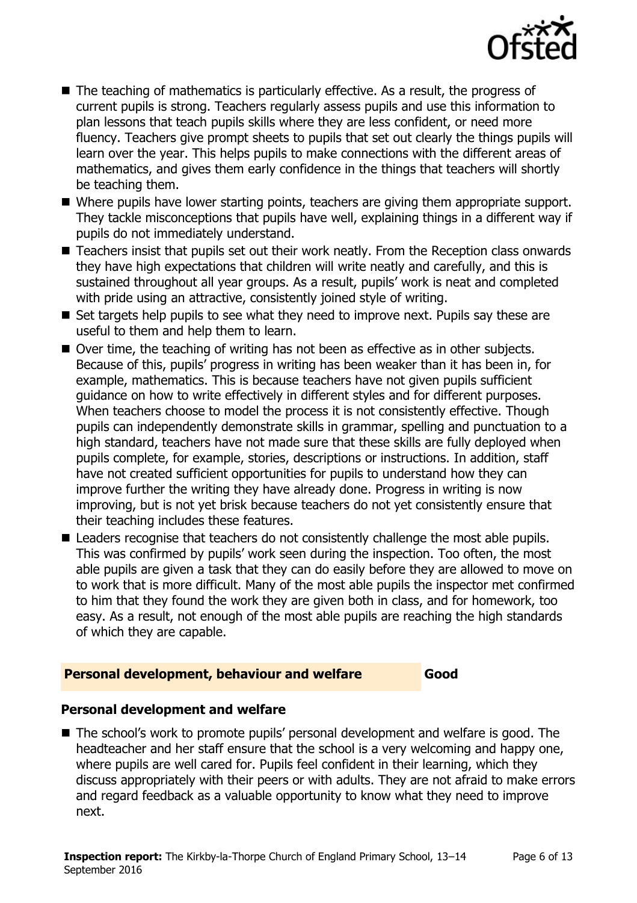

- The teaching of mathematics is particularly effective. As a result, the progress of current pupils is strong. Teachers regularly assess pupils and use this information to plan lessons that teach pupils skills where they are less confident, or need more fluency. Teachers give prompt sheets to pupils that set out clearly the things pupils will learn over the year. This helps pupils to make connections with the different areas of mathematics, and gives them early confidence in the things that teachers will shortly be teaching them.
- Where pupils have lower starting points, teachers are giving them appropriate support. They tackle misconceptions that pupils have well, explaining things in a different way if pupils do not immediately understand.
- Teachers insist that pupils set out their work neatly. From the Reception class onwards they have high expectations that children will write neatly and carefully, and this is sustained throughout all year groups. As a result, pupils' work is neat and completed with pride using an attractive, consistently joined style of writing.
- Set targets help pupils to see what they need to improve next. Pupils say these are useful to them and help them to learn.
- Over time, the teaching of writing has not been as effective as in other subjects. Because of this, pupils' progress in writing has been weaker than it has been in, for example, mathematics. This is because teachers have not given pupils sufficient guidance on how to write effectively in different styles and for different purposes. When teachers choose to model the process it is not consistently effective. Though pupils can independently demonstrate skills in grammar, spelling and punctuation to a high standard, teachers have not made sure that these skills are fully deployed when pupils complete, for example, stories, descriptions or instructions. In addition, staff have not created sufficient opportunities for pupils to understand how they can improve further the writing they have already done. Progress in writing is now improving, but is not yet brisk because teachers do not yet consistently ensure that their teaching includes these features.
- Leaders recognise that teachers do not consistently challenge the most able pupils. This was confirmed by pupils' work seen during the inspection. Too often, the most able pupils are given a task that they can do easily before they are allowed to move on to work that is more difficult. Many of the most able pupils the inspector met confirmed to him that they found the work they are given both in class, and for homework, too easy. As a result, not enough of the most able pupils are reaching the high standards of which they are capable.

#### **Personal development, behaviour and welfare Good**

#### **Personal development and welfare**

■ The school's work to promote pupils' personal development and welfare is good. The headteacher and her staff ensure that the school is a very welcoming and happy one, where pupils are well cared for. Pupils feel confident in their learning, which they discuss appropriately with their peers or with adults. They are not afraid to make errors and regard feedback as a valuable opportunity to know what they need to improve next.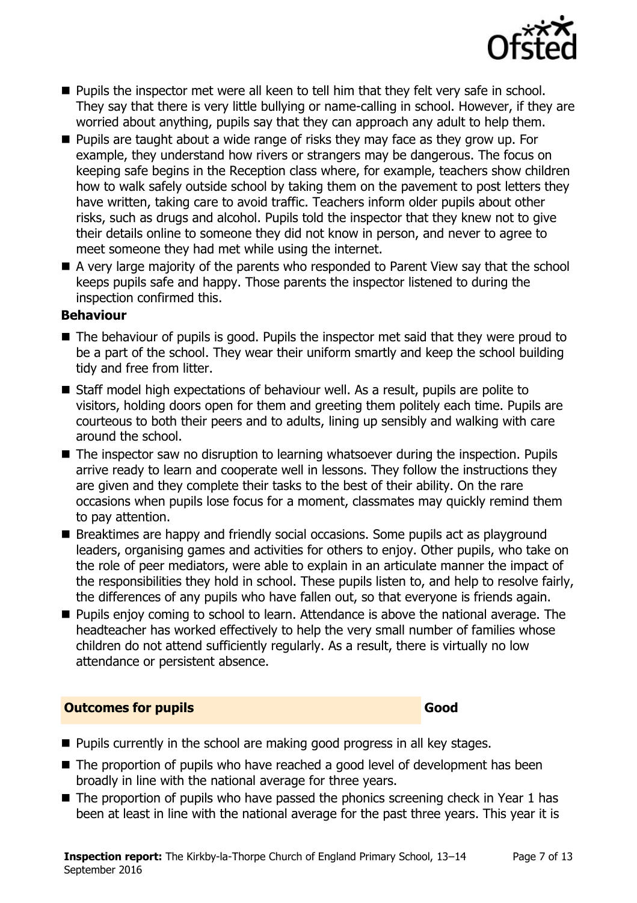

- Pupils the inspector met were all keen to tell him that they felt very safe in school. They say that there is very little bullying or name-calling in school. However, if they are worried about anything, pupils say that they can approach any adult to help them.
- **Pupils are taught about a wide range of risks they may face as they grow up. For** example, they understand how rivers or strangers may be dangerous. The focus on keeping safe begins in the Reception class where, for example, teachers show children how to walk safely outside school by taking them on the pavement to post letters they have written, taking care to avoid traffic. Teachers inform older pupils about other risks, such as drugs and alcohol. Pupils told the inspector that they knew not to give their details online to someone they did not know in person, and never to agree to meet someone they had met while using the internet.
- A very large majority of the parents who responded to Parent View say that the school keeps pupils safe and happy. Those parents the inspector listened to during the inspection confirmed this.

#### **Behaviour**

- The behaviour of pupils is good. Pupils the inspector met said that they were proud to be a part of the school. They wear their uniform smartly and keep the school building tidy and free from litter.
- Staff model high expectations of behaviour well. As a result, pupils are polite to visitors, holding doors open for them and greeting them politely each time. Pupils are courteous to both their peers and to adults, lining up sensibly and walking with care around the school.
- The inspector saw no disruption to learning whatsoever during the inspection. Pupils arrive ready to learn and cooperate well in lessons. They follow the instructions they are given and they complete their tasks to the best of their ability. On the rare occasions when pupils lose focus for a moment, classmates may quickly remind them to pay attention.
- Breaktimes are happy and friendly social occasions. Some pupils act as playground leaders, organising games and activities for others to enjoy. Other pupils, who take on the role of peer mediators, were able to explain in an articulate manner the impact of the responsibilities they hold in school. These pupils listen to, and help to resolve fairly, the differences of any pupils who have fallen out, so that everyone is friends again.
- **Pupils enjoy coming to school to learn. Attendance is above the national average. The** headteacher has worked effectively to help the very small number of families whose children do not attend sufficiently regularly. As a result, there is virtually no low attendance or persistent absence.

#### **Outcomes for pupils Good**

- **Pupils currently in the school are making good progress in all key stages.**
- The proportion of pupils who have reached a good level of development has been broadly in line with the national average for three years.
- $\blacksquare$  The proportion of pupils who have passed the phonics screening check in Year 1 has been at least in line with the national average for the past three years. This year it is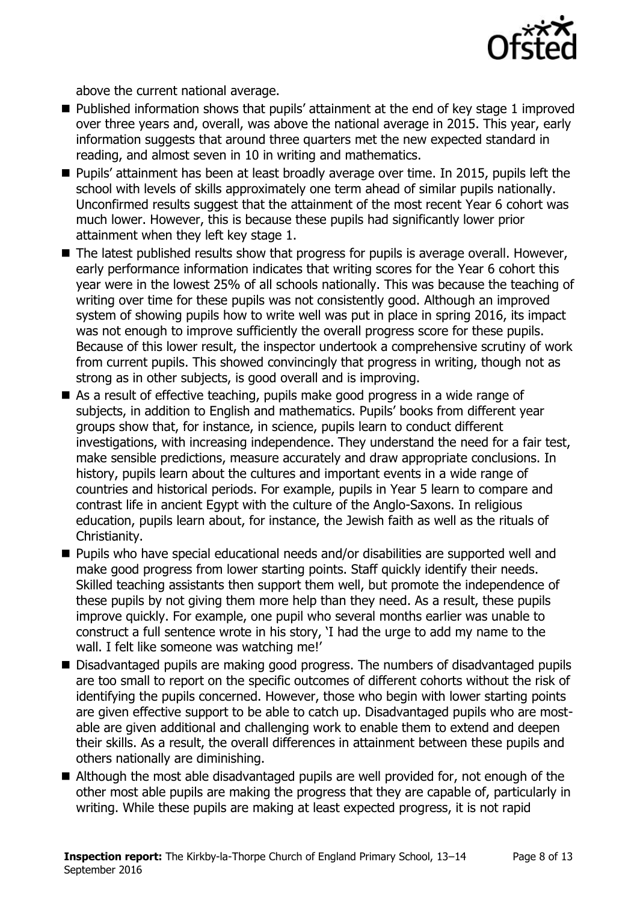

above the current national average.

- Published information shows that pupils' attainment at the end of key stage 1 improved over three years and, overall, was above the national average in 2015. This year, early information suggests that around three quarters met the new expected standard in reading, and almost seven in 10 in writing and mathematics.
- **Pupils' attainment has been at least broadly average over time. In 2015, pupils left the** school with levels of skills approximately one term ahead of similar pupils nationally. Unconfirmed results suggest that the attainment of the most recent Year 6 cohort was much lower. However, this is because these pupils had significantly lower prior attainment when they left key stage 1.
- The latest published results show that progress for pupils is average overall. However, early performance information indicates that writing scores for the Year 6 cohort this year were in the lowest 25% of all schools nationally. This was because the teaching of writing over time for these pupils was not consistently good. Although an improved system of showing pupils how to write well was put in place in spring 2016, its impact was not enough to improve sufficiently the overall progress score for these pupils. Because of this lower result, the inspector undertook a comprehensive scrutiny of work from current pupils. This showed convincingly that progress in writing, though not as strong as in other subjects, is good overall and is improving.
- As a result of effective teaching, pupils make good progress in a wide range of subjects, in addition to English and mathematics. Pupils' books from different year groups show that, for instance, in science, pupils learn to conduct different investigations, with increasing independence. They understand the need for a fair test, make sensible predictions, measure accurately and draw appropriate conclusions. In history, pupils learn about the cultures and important events in a wide range of countries and historical periods. For example, pupils in Year 5 learn to compare and contrast life in ancient Egypt with the culture of the Anglo-Saxons. In religious education, pupils learn about, for instance, the Jewish faith as well as the rituals of Christianity.
- Pupils who have special educational needs and/or disabilities are supported well and make good progress from lower starting points. Staff quickly identify their needs. Skilled teaching assistants then support them well, but promote the independence of these pupils by not giving them more help than they need. As a result, these pupils improve quickly. For example, one pupil who several months earlier was unable to construct a full sentence wrote in his story, 'I had the urge to add my name to the wall. I felt like someone was watching me!'
- Disadvantaged pupils are making good progress. The numbers of disadvantaged pupils are too small to report on the specific outcomes of different cohorts without the risk of identifying the pupils concerned. However, those who begin with lower starting points are given effective support to be able to catch up. Disadvantaged pupils who are mostable are given additional and challenging work to enable them to extend and deepen their skills. As a result, the overall differences in attainment between these pupils and others nationally are diminishing.
- Although the most able disadvantaged pupils are well provided for, not enough of the other most able pupils are making the progress that they are capable of, particularly in writing. While these pupils are making at least expected progress, it is not rapid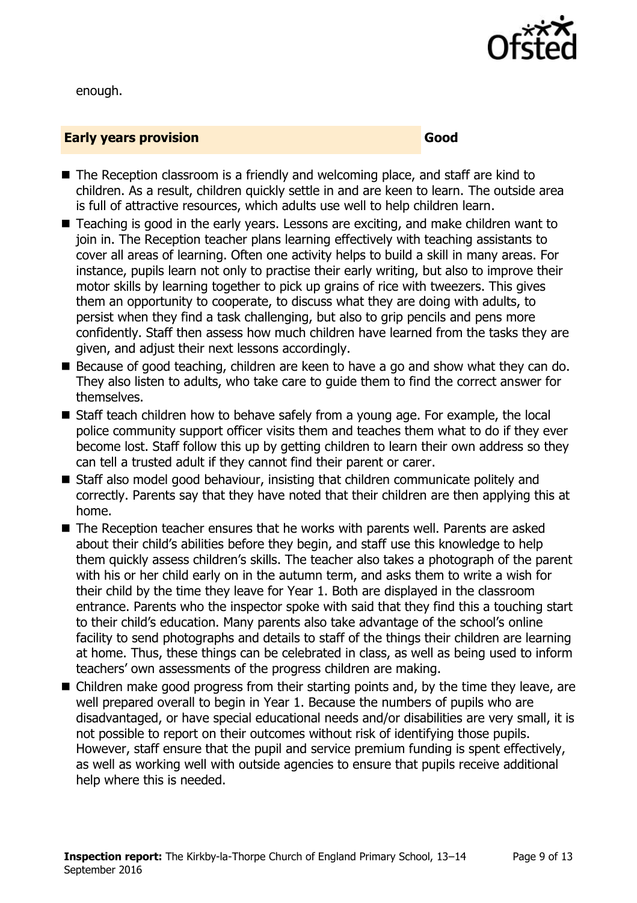

enough.

#### **Early years provision Good Good**

- The Reception classroom is a friendly and welcoming place, and staff are kind to children. As a result, children quickly settle in and are keen to learn. The outside area is full of attractive resources, which adults use well to help children learn.
- Teaching is good in the early years. Lessons are exciting, and make children want to join in. The Reception teacher plans learning effectively with teaching assistants to cover all areas of learning. Often one activity helps to build a skill in many areas. For instance, pupils learn not only to practise their early writing, but also to improve their motor skills by learning together to pick up grains of rice with tweezers. This gives them an opportunity to cooperate, to discuss what they are doing with adults, to persist when they find a task challenging, but also to grip pencils and pens more confidently. Staff then assess how much children have learned from the tasks they are given, and adjust their next lessons accordingly.
- Because of good teaching, children are keen to have a go and show what they can do. They also listen to adults, who take care to guide them to find the correct answer for themselves.
- Staff teach children how to behave safely from a young age. For example, the local police community support officer visits them and teaches them what to do if they ever become lost. Staff follow this up by getting children to learn their own address so they can tell a trusted adult if they cannot find their parent or carer.
- Staff also model good behaviour, insisting that children communicate politely and correctly. Parents say that they have noted that their children are then applying this at home.
- The Reception teacher ensures that he works with parents well. Parents are asked about their child's abilities before they begin, and staff use this knowledge to help them quickly assess children's skills. The teacher also takes a photograph of the parent with his or her child early on in the autumn term, and asks them to write a wish for their child by the time they leave for Year 1. Both are displayed in the classroom entrance. Parents who the inspector spoke with said that they find this a touching start to their child's education. Many parents also take advantage of the school's online facility to send photographs and details to staff of the things their children are learning at home. Thus, these things can be celebrated in class, as well as being used to inform teachers' own assessments of the progress children are making.
- Children make good progress from their starting points and, by the time they leave, are well prepared overall to begin in Year 1. Because the numbers of pupils who are disadvantaged, or have special educational needs and/or disabilities are very small, it is not possible to report on their outcomes without risk of identifying those pupils. However, staff ensure that the pupil and service premium funding is spent effectively, as well as working well with outside agencies to ensure that pupils receive additional help where this is needed.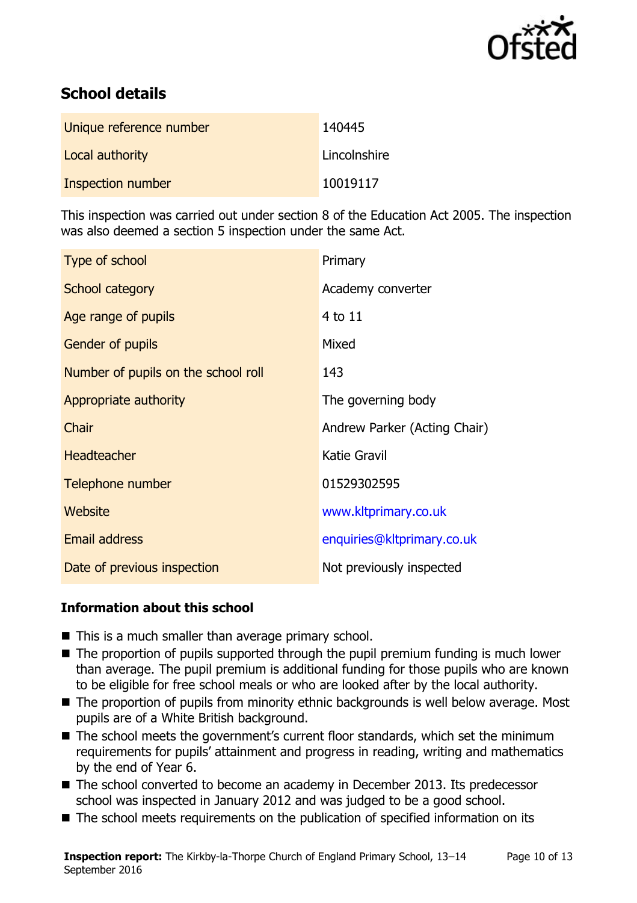

# **School details**

| Unique reference number | 140445       |
|-------------------------|--------------|
| Local authority         | Lincolnshire |
| Inspection number       | 10019117     |

This inspection was carried out under section 8 of the Education Act 2005. The inspection was also deemed a section 5 inspection under the same Act.

| Type of school                      | Primary                      |
|-------------------------------------|------------------------------|
| <b>School category</b>              | Academy converter            |
| Age range of pupils                 | 4 to 11                      |
| <b>Gender of pupils</b>             | Mixed                        |
| Number of pupils on the school roll | 143                          |
| Appropriate authority               | The governing body           |
| Chair                               | Andrew Parker (Acting Chair) |
| <b>Headteacher</b>                  | <b>Katie Gravil</b>          |
| Telephone number                    | 01529302595                  |
| <b>Website</b>                      | www.kltprimary.co.uk         |
| <b>Email address</b>                | enquiries@kltprimary.co.uk   |
| Date of previous inspection         | Not previously inspected     |

### **Information about this school**

- This is a much smaller than average primary school.
- The proportion of pupils supported through the pupil premium funding is much lower than average. The pupil premium is additional funding for those pupils who are known to be eligible for free school meals or who are looked after by the local authority.
- The proportion of pupils from minority ethnic backgrounds is well below average. Most pupils are of a White British background.
- The school meets the government's current floor standards, which set the minimum requirements for pupils' attainment and progress in reading, writing and mathematics by the end of Year 6.
- The school converted to become an academy in December 2013. Its predecessor school was inspected in January 2012 and was judged to be a good school.
- The school meets requirements on the publication of specified information on its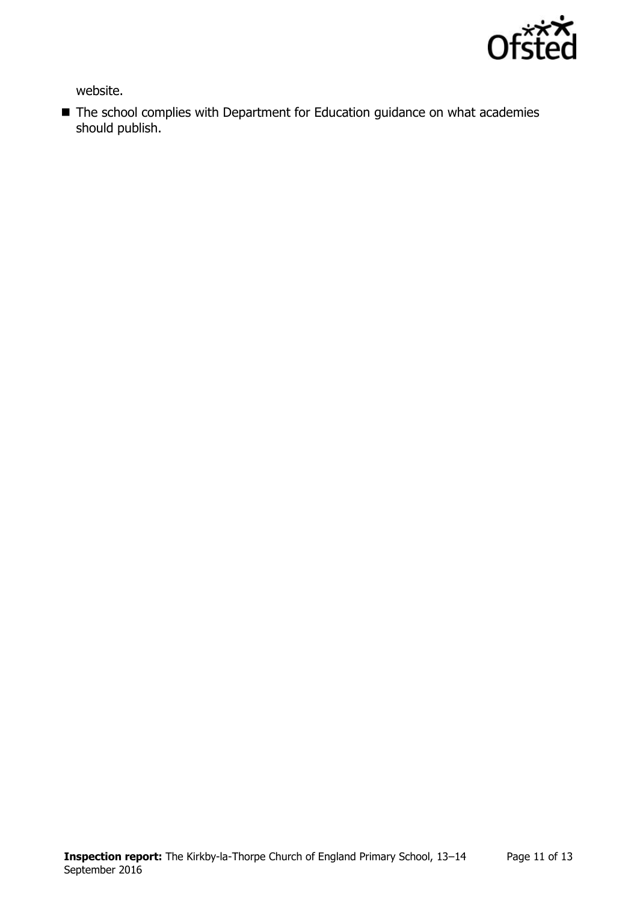

website.

■ The school complies with Department for Education guidance on what academies should publish.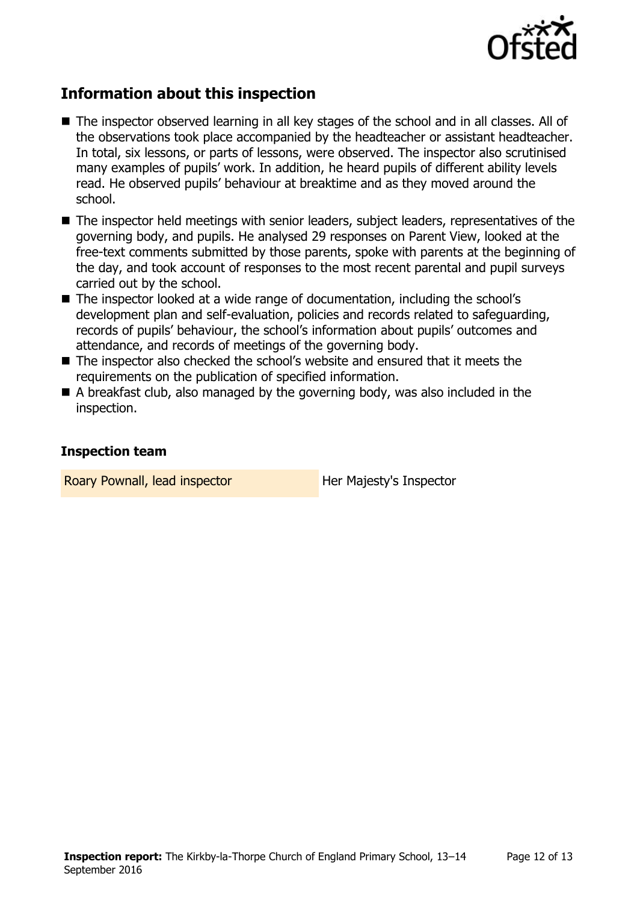

# **Information about this inspection**

- The inspector observed learning in all key stages of the school and in all classes. All of the observations took place accompanied by the headteacher or assistant headteacher. In total, six lessons, or parts of lessons, were observed. The inspector also scrutinised many examples of pupils' work. In addition, he heard pupils of different ability levels read. He observed pupils' behaviour at breaktime and as they moved around the school.
- The inspector held meetings with senior leaders, subject leaders, representatives of the governing body, and pupils. He analysed 29 responses on Parent View, looked at the free-text comments submitted by those parents, spoke with parents at the beginning of the day, and took account of responses to the most recent parental and pupil surveys carried out by the school.
- The inspector looked at a wide range of documentation, including the school's development plan and self-evaluation, policies and records related to safeguarding, records of pupils' behaviour, the school's information about pupils' outcomes and attendance, and records of meetings of the governing body.
- The inspector also checked the school's website and ensured that it meets the requirements on the publication of specified information.
- A breakfast club, also managed by the governing body, was also included in the inspection.

#### **Inspection team**

Roary Pownall, lead inspector **Her Majesty's Inspector**